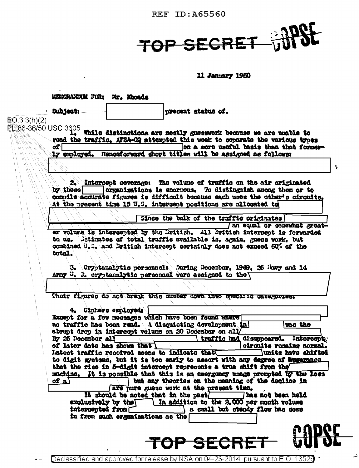**REF ID: A65560** 



11 January 1980

**NERORANDOM FOR: Mr. Rhoads Bubject:** present status of.  $E[0.3.3(h)(2)]$ PE 86-36/50 USC 3605 While distinctions are mostly guesswork because we are unable to read the traffic, AFSA-C2 attempted this week to separate the various types on a more useful basis than that formerof T 1y emlayed. Henseforward short titles will be assigned as follows: ÷, 2. Intercept coverage: The volume of traffic on the air originated by these organizations is encrous. To distinguish among them or to commile accurate figures is difficult because each uses the other's circuits. At the present time 15 U.S. intercent positions are allocated to Since the bulk of the traffic originates an equal or somewhat greator volume is intercepted by the Dritish. All British intercept is forwarded to us. Cetimates of total traffic available is, again, guess work, but combined U.S. and British intercent certainly does not exceed 60% of the total. 3. Cryptanalytic personnel: During December, 1949. 26 Mayy and 14 Army U. 3. cryptanalytic personnel were assigned to the Their figures do not break this number down into specific categories. 4. Ciphers employed: Except for a few messages which have been found where no traffic has been read. A disquisting development in **WAS** the abrupt drop in intercopt volume on 20 Docember on all I traffic had disappeared. Intercepty By 25 December all of later date has shown that circuits remains normal. Latest traffic received seems to indicate that units have shifted to digit gystems, but it is too early to assort with any degree of deparance that the rise in 5-digit intercent represents a true shift from the machine. It is possible that this is an exergency usage prompted to the loss of a $\overline{A}$ but any theories on the meaning of the decline in are pure guess work at the present time. It should be noted that in the past Thas not been held exclusively by the laddition to the 2,000 per month volume intercepted from a mall but steady flow has come in from such organizations as the